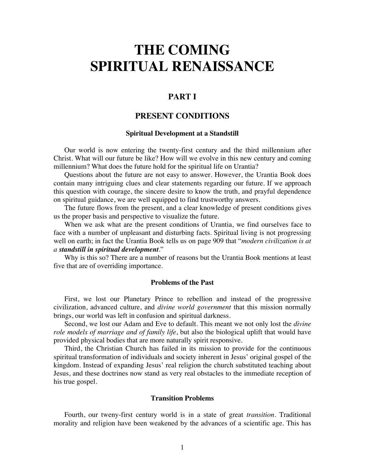# **THE COMING SPIRITUAL RENAISSANCE**

# **PART I**

# **PRESENT CONDITIONS**

#### **Spiritual Development at a Standstill**

Our world is now entering the twenty-first century and the third millennium after Christ. What will our future be like? How will we evolve in this new century and coming millennium? What does the future hold for the spiritual life on Urantia?

Questions about the future are not easy to answer. However, the Urantia Book does contain many intriguing clues and clear statements regarding our future. If we approach this question with courage, the sincere desire to know the truth, and prayful dependence on spiritual guidance, we are well equipped to find trustworthy answers.

The future flows from the present, and a clear knowledge of present conditions gives us the proper basis and perspective to visualize the future.

When we ask what are the present conditions of Urantia, we find ourselves face to face with a number of unpleasant and disturbing facts. Spiritual living is not progressing well on earth; in fact the Urantia Book tells us on page 909 that "*modern civilization is at a standstill in spiritual development*."

Why is this so? There are a number of reasons but the Urantia Book mentions at least five that are of overriding importance.

### **Problems of the Past**

First, we lost our Planetary Prince to rebellion and instead of the progressive civilization, advanced culture, and *divine world government* that this mission normally brings, our world was left in confusion and spiritual darkness.

Second, we lost our Adam and Eve to default. This meant we not only lost the *divine role models of marriage and of family life*, but also the biological uplift that would have provided physical bodies that are more naturally spirit responsive.

Third, the Christian Church has failed in its mission to provide for the continuous spiritual transformation of individuals and society inherent in Jesus' original gospel of the kingdom. Instead of expanding Jesus' real religion the church substituted teaching about Jesus, and these doctrines now stand as very real obstacles to the immediate reception of his true gospel.

## **Transition Problems**

Fourth, our tweny-first century world is in a state of great *transition*. Traditional morality and religion have been weakened by the advances of a scientific age. This has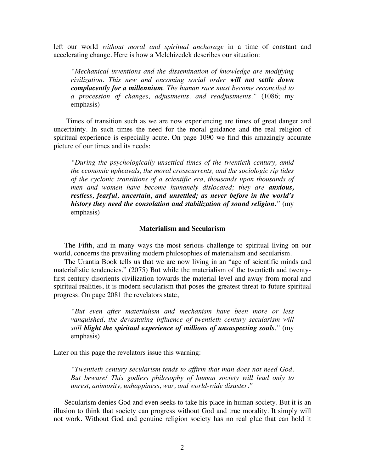left our world *without moral and spiritual anchorage* in a time of constant and accelerating change. Here is how a Melchizedek describes our situation:

*"Mechanical inventions and the dissemination of knowledge are modifying civilization. This new and oncoming social order will not settle down complacently for a millennium. The human race must become reconciled to a procession of changes, adjustments, and readjustments."* (1086; my emphasis)

Times of transition such as we are now experiencing are times of great danger and uncertainty. In such times the need for the moral guidance and the real religion of spiritual experience is especially acute. On page 1090 we find this amazingly accurate picture of our times and its needs:

*"During the psychologically unsettled times of the twentieth century, amid the economic upheavals, the moral crosscurrents, and the sociologic rip tides of the cyclonic transitions of a scientific era, thousands upon thousands of men and women have become humanely dislocated; they are anxious, restless, fearful, uncertain, and unsettled; as never before in the world's history they need the consolation and stabilization of sound religion."* (my emphasis)

#### **Materialism and Secularism**

The Fifth, and in many ways the most serious challenge to spiritual living on our world, concerns the prevailing modern philosophies of materialism and secularism.

The Urantia Book tells us that we are now living in an "age of scientific minds and materialistic tendencies." (2075) But while the materialism of the twentieth and twentyfirst century disorients civilization towards the material level and away from moral and spiritual realities, it is modern secularism that poses the greatest threat to future spiritual progress. On page 2081 the revelators state,

*"But even after materialism and mechanism have been more or less vanquished, the devastating influence of twentieth century secularism will still blight the spiritual experience of millions of unsuspecting souls."* (my emphasis)

Later on this page the revelators issue this warning:

*"Twentieth century secularism tends to affirm that man does not need God. But beware! This godless philosophy of human society will lead only to unrest, animosity, unhappiness, war, and world-wide disaster."* 

Secularism denies God and even seeks to take his place in human society. But it is an illusion to think that society can progress without God and true morality. It simply will not work. Without God and genuine religion society has no real glue that can hold it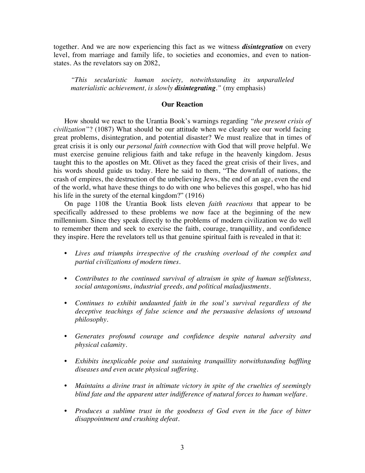together. And we are now experiencing this fact as we witness *disintegration* on every level, from marriage and family life, to societies and economies, and even to nationstates. As the revelators say on 2082,

*"This secularistic human society, notwithstanding its unparalleled materialistic achievement, is slowly disintegrating."* (my emphasis)

## **Our Reaction**

How should we react to the Urantia Book's warnings regarding *"the present crisis of civilization"*? (1087) What should be our attitude when we clearly see our world facing great problems, disintegration, and potential disaster? We must realize that in times of great crisis it is only our *personal faith connection* with God that will prove helpful. We must exercise genuine religious faith and take refuge in the heavenly kingdom. Jesus taught this to the apostles on Mt. Olivet as they faced the great crisis of their lives, and his words should guide us today. Here he said to them, "The downfall of nations, the crash of empires, the destruction of the unbelieving Jews, the end of an age, even the end of the world, what have these things to do with one who believes this gospel, who has hid his life in the surety of the eternal kingdom?" (1916)

On page 1108 the Urantia Book lists eleven *faith reactions* that appear to be specifically addressed to these problems we now face at the beginning of the new millennium. Since they speak directly to the problems of modern civilization we do well to remember them and seek to exercise the faith, courage, tranquillity, and confidence they inspire. Here the revelators tell us that genuine spiritual faith is revealed in that it:

- *Lives and triumphs irrespective of the crushing overload of the complex and partial civilizations of modern times.*
- *Contributes to the continued survival of altruism in spite of human selfishness, social antagonisms, industrial greeds, and political maladjustments*.
- *Continues to exhibit undaunted faith in the soul's survival regardless of the deceptive teachings of false science and the persuasive delusions of unsound philosophy*.
- *Generates profound courage and confidence despite natural adversity and physical calamity*.
- *Exhibits inexplicable poise and sustaining tranquillity notwithstanding baffling diseases and even acute physical suffering*.
- *Maintains a divine trust in ultimate victory in spite of the cruelties of seemingly blind fate and the apparent utter indifference of natural forces to human welfare*.
- *Produces a sublime trust in the goodness of God even in the face of bitter disappointment and crushing defeat*.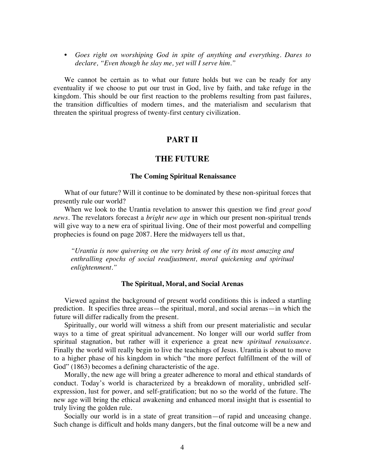• *Goes right on worshiping God in spite of anything and everything. Dares to declare, "Even though he slay me, yet will I serve him."*

We cannot be certain as to what our future holds but we can be ready for any eventuality if we choose to put our trust in God, live by faith, and take refuge in the kingdom. This should be our first reaction to the problems resulting from past failures, the transition difficulties of modern times, and the materialism and secularism that threaten the spiritual progress of twenty-first century civilization.

## **PART II**

## **THE FUTURE**

#### **The Coming Spiritual Renaissance**

What of our future? Will it continue to be dominated by these non-spiritual forces that presently rule our world?

When we look to the Urantia revelation to answer this question we find *great good news*. The revelators forecast a *bright new age* in which our present non-spiritual trends will give way to a new era of spiritual living. One of their most powerful and compelling prophecies is found on page 2087. Here the midwayers tell us that,

*"Urantia is now quivering on the very brink of one of its most amazing and enthralling epochs of social readjustment, moral quickening and spiritual enlightenment."*

#### **The Spiritual, Moral, and Social Arenas**

Viewed against the background of present world conditions this is indeed a startling prediction. It specifies three areas—the spiritual, moral, and social arenas—in which the future will differ radically from the present.

Spiritually, our world will witness a shift from our present materialistic and secular ways to a time of great spiritual advancement. No longer will our world suffer from spiritual stagnation, but rather will it experience a great new *spiritual renaissance*. Finally the world will really begin to live the teachings of Jesus. Urantia is about to move to a higher phase of his kingdom in which "the more perfect fulfillment of the will of God" (1863) becomes a defining characteristic of the age.

Morally, the new age will bring a greater adherence to moral and ethical standards of conduct. Today's world is characterized by a breakdown of morality, unbridled selfexpression, lust for power, and self-gratification; but no so the world of the future. The new age will bring the ethical awakening and enhanced moral insight that is essential to truly living the golden rule.

Socially our world is in a state of great transition—of rapid and unceasing change. Such change is difficult and holds many dangers, but the final outcome will be a new and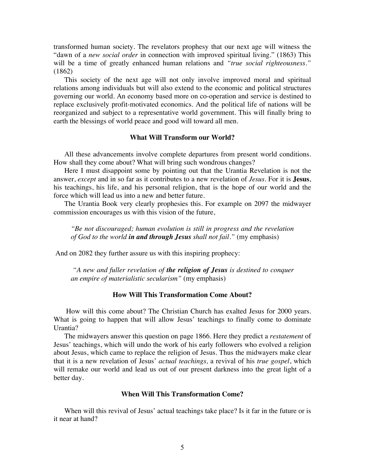transformed human society. The revelators prophesy that our next age will witness the "dawn of a *new social order* in connection with improved spiritual living." (1863) This will be a time of greatly enhanced human relations and *"true social righteousness."* (1862)

This society of the next age will not only involve improved moral and spiritual relations among individuals but will also extend to the economic and political structures governing our world. An economy based more on co-operation and service is destined to replace exclusively profit-motivated economics. And the political life of nations will be reorganized and subject to a representative world government. This will finally bring to earth the blessings of world peace and good will toward all men.

## **What Will Transform our World?**

All these advancements involve complete departures from present world conditions. How shall they come about? What will bring such wondrous changes?

Here I must disappoint some by pointing out that the Urantia Revelation is not the answer, *except* and in so far as it contributes to a new revelation of *Jesus*. For it is **Jesus**, his teachings, his life, and his personal religion, that is the hope of our world and the force which will lead us into a new and better future.

The Urantia Book very clearly prophesies this. For example on 2097 the midwayer commission encourages us with this vision of the future,

*"Be not discouraged; human evolution is still in progress and the revelation of God to the world in and through Jesus shall not fail."* (my emphasis)

And on 2082 they further assure us with this inspiring prophecy:

*"A new and fuller revelation of the religion of Jesus is destined to conquer an empire of materialistic secularism"* (my emphasis)

#### **How Will This Transformation Come About?**

How will this come about? The Christian Church has exalted Jesus for 2000 years. What is going to happen that will allow Jesus' teachings to finally come to dominate Urantia?

The midwayers answer this question on page 1866. Here they predict a *restatement* of Jesus' teachings, which will undo the work of his early followers who evolved a religion about Jesus, which came to replace the religion of Jesus. Thus the midwayers make clear that it is a new revelation of Jesus' *actual teachings,* a revival of his *true gospel*, which will remake our world and lead us out of our present darkness into the great light of a better day.

## **When Will This Transformation Come?**

When will this revival of Jesus' actual teachings take place? Is it far in the future or is it near at hand?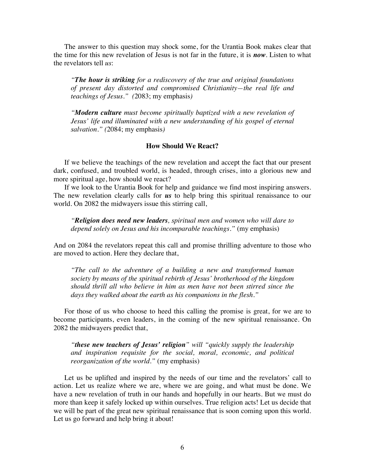The answer to this question may shock some, for the Urantia Book makes clear that the time for this new revelation of Jesus is not far in the future, it is *now*. Listen to what the revelators tell *us*:

*"The hour is striking for a rediscovery of the true and original foundations of present day distorted and compromised Christianity—the real life and teachings of Jesus." (*2083; my emphasis*)*

*"Modern culture must become spiritually baptized with a new revelation of Jesus' life and illuminated with a new understanding of his gospel of eternal salvation." (*2084; my emphasis*)*

## **How Should We React?**

If we believe the teachings of the new revelation and accept the fact that our present dark, confused, and troubled world, is headed, through crises, into a glorious new and more spiritual age, how should we react?

If we look to the Urantia Book for help and guidance we find most inspiring answers. The new revelation clearly calls for *us* to help bring this spiritual renaissance to our world. On 2082 the midwayers issue this stirring call,

*"Religion does need new leaders, spiritual men and women who will dare to depend solely on Jesus and his incomparable teachings."* (my emphasis)

And on 2084 the revelators repeat this call and promise thrilling adventure to those who are moved to action. Here they declare that,

*"The call to the adventure of a building a new and transformed human society by means of the spiritual rebirth of Jesus' brotherhood of the kingdom should thrill all who believe in him as men have not been stirred since the days they walked about the earth as his companions in the flesh."*

For those of us who choose to heed this calling the promise is great, for we are to become participants, even leaders, in the coming of the new spiritual renaissance. On 2082 the midwayers predict that,

*"these new teachers of Jesus' religion" will "quickly supply the leadership and inspiration requisite for the social, moral, economic, and political reorganization of the world."* (my emphasis)

Let us be uplifted and inspired by the needs of our time and the revelators' call to action. Let us realize where we are, where we are going, and what must be done. We have a new revelation of truth in our hands and hopefully in our hearts. But we must do more than keep it safely locked up within ourselves. True religion acts! Let us decide that we will be part of the great new spiritual renaissance that is soon coming upon this world. Let us go forward and help bring it about!